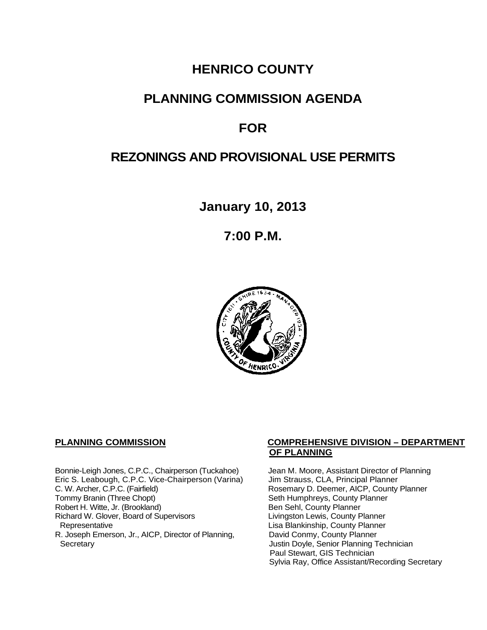## **HENRICO COUNTY**

## **PLANNING COMMISSION AGENDA**

## **FOR**

## **REZONINGS AND PROVISIONAL USE PERMITS**

**January 10, 2013**

**7:00 P.M.**



Bonnie-Leigh Jones, C.P.C., Chairperson (Tuckahoe) Jean M. Moore, Assistant Director of Planning<br>Eric S. Leabough, C.P.C. Vice-Chairperson (Varina) Jim Strauss, CLA, Principal Planner Eric S. Leabough, C.P.C. Vice-Chairperson (Varina)<br>C. W. Archer, C.P.C. (Fairfield) C. W. Archer, C.P.C. (Fairfield) Rosemary D. Deemer, AICP, County Planner<br>
Tommy Branin (Three Chopt) Seth Humphreys, County Planner Robert H. Witte, Jr. (Brookland)<br>
Richard W. Glover, Board of Supervisors<br>
Livingston Lewis, County Planner Richard W. Glover, Board of Supervisors<br>Representative R. Joseph Emerson, Jr., AICP, Director of Planning, Secretary

#### **PLANNING COMMISSION COMPREHENSIVE DIVISION – DEPARTMENT OF PLANNING**

Seth Humphreys, County Planner<br>Ben Sehl, County Planner Lisa Blankinship, County Planner<br>David Conmy, County Planner Justin Doyle, Senior Planning Technician Paul Stewart, GIS Technician Sylvia Ray, Office Assistant/Recording Secretary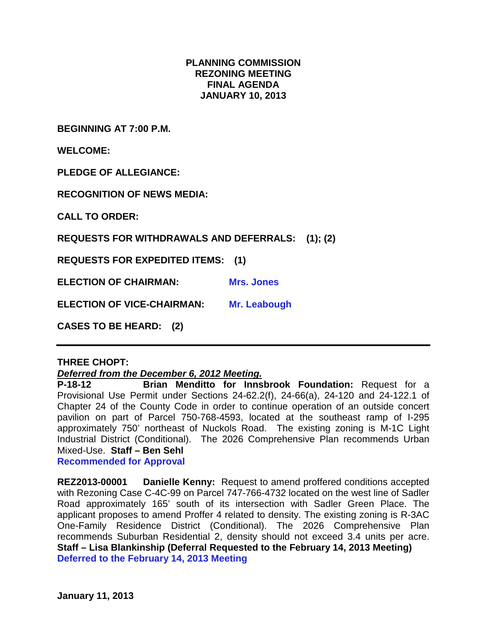#### **PLANNING COMMISSION REZONING MEETING FINAL AGENDA JANUARY 10, 2013**

**BEGINNING AT 7:00 P.M.**

**WELCOME:**

**PLEDGE OF ALLEGIANCE:**

**RECOGNITION OF NEWS MEDIA:**

**CALL TO ORDER:**

**REQUESTS FOR WITHDRAWALS AND DEFERRALS: (1); (2)**

**REQUESTS FOR EXPEDITED ITEMS: (1)**

**ELECTION OF CHAIRMAN: Mrs. Jones** 

**ELECTION OF VICE-CHAIRMAN: Mr. Leabough**

**CASES TO BE HEARD: (2)**

#### **THREE CHOPT:**

#### *Deferred from the December 6, 2012 Meeting.*

**P-18-12 Brian Menditto for Innsbrook Foundation:** Request for a Provisional Use Permit under Sections 24-62.2(f), 24-66(a), 24-120 and 24-122.1 of Chapter 24 of the County Code in order to continue operation of an outside concert pavilion on part of Parcel 750-768-4593, located at the southeast ramp of I-295 approximately 750' northeast of Nuckols Road. The existing zoning is M-1C Light Industrial District (Conditional). The 2026 Comprehensive Plan recommends Urban Mixed-Use. **Staff – Ben Sehl**

**Recommended for Approval**

**REZ2013-00001 Danielle Kenny:** Request to amend proffered conditions accepted with Rezoning Case C-4C-99 on Parcel 747-766-4732 located on the west line of Sadler Road approximately 165' south of its intersection with Sadler Green Place. The applicant proposes to amend Proffer 4 related to density. The existing zoning is R-3AC One-Family Residence District (Conditional). The 2026 Comprehensive Plan recommends Suburban Residential 2, density should not exceed 3.4 units per acre. **Staff – Lisa Blankinship (Deferral Requested to the February 14, 2013 Meeting) Deferred to the February 14, 2013 Meeting**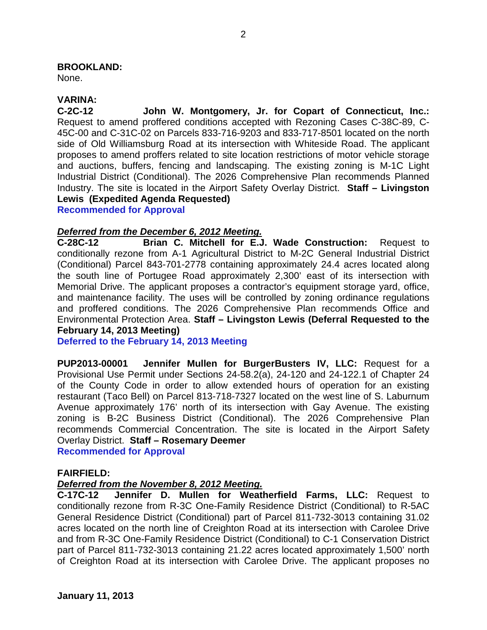#### **BROOKLAND:**

None.

#### **VARINA:**

**C-2C-12 John W. Montgomery, Jr. for Copart of Connecticut, Inc.:**  Request to amend proffered conditions accepted with Rezoning Cases C-38C-89, C-45C-00 and C-31C-02 on Parcels 833-716-9203 and 833-717-8501 located on the north side of Old Williamsburg Road at its intersection with Whiteside Road. The applicant proposes to amend proffers related to site location restrictions of motor vehicle storage and auctions, buffers, fencing and landscaping. The existing zoning is M-1C Light Industrial District (Conditional). The 2026 Comprehensive Plan recommends Planned Industry. The site is located in the Airport Safety Overlay District. **Staff – Livingston Lewis (Expedited Agenda Requested)**

**Recommended for Approval**

# *Deferred from the December 6, 2012 Meeting.*

**C-28C-12 Brian C. Mitchell for E.J. Wade Construction:** Request to conditionally rezone from A-1 Agricultural District to M-2C General Industrial District (Conditional) Parcel 843-701-2778 containing approximately 24.4 acres located along the south line of Portugee Road approximately 2,300' east of its intersection with Memorial Drive. The applicant proposes a contractor's equipment storage yard, office, and maintenance facility. The uses will be controlled by zoning ordinance regulations and proffered conditions. The 2026 Comprehensive Plan recommends Office and Environmental Protection Area. **Staff – Livingston Lewis (Deferral Requested to the February 14, 2013 Meeting)**

**Deferred to the February 14, 2013 Meeting**

**PUP2013-00001 Jennifer Mullen for BurgerBusters IV, LLC:** Request for a Provisional Use Permit under Sections 24-58.2(a), 24-120 and 24-122.1 of Chapter 24 of the County Code in order to allow extended hours of operation for an existing restaurant (Taco Bell) on Parcel 813-718-7327 located on the west line of S. Laburnum Avenue approximately 176' north of its intersection with Gay Avenue. The existing zoning is B-2C Business District (Conditional). The 2026 Comprehensive Plan recommends Commercial Concentration. The site is located in the Airport Safety Overlay District. **Staff – Rosemary Deemer Recommended for Approval**

**FAIRFIELD:**

#### *Deferred from the November 8, 2012 Meeting.*

**C-17C-12 Jennifer D. Mullen for Weatherfield Farms, LLC:** Request to conditionally rezone from R-3C One-Family Residence District (Conditional) to R-5AC General Residence District (Conditional) part of Parcel 811-732-3013 containing 31.02 acres located on the north line of Creighton Road at its intersection with Carolee Drive and from R-3C One-Family Residence District (Conditional) to C-1 Conservation District part of Parcel 811-732-3013 containing 21.22 acres located approximately 1,500' north of Creighton Road at its intersection with Carolee Drive. The applicant proposes no